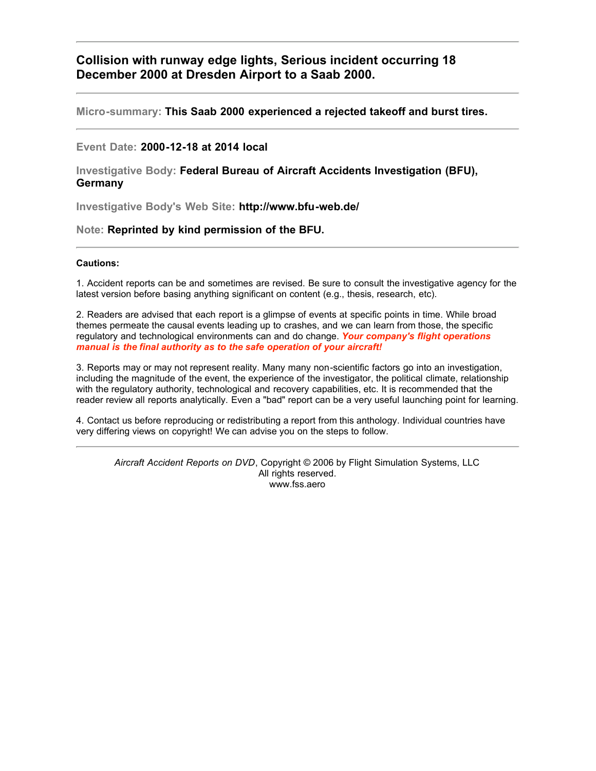# **Collision with runway edge lights, Serious incident occurring 18 December 2000 at Dresden Airport to a Saab 2000.**

## **Micro-summary: This Saab 2000 experienced a rejected takeoff and burst tires.**

## **Event Date: 2000-12-18 at 2014 local**

## **Investigative Body: Federal Bureau of Aircraft Accidents Investigation (BFU), Germany**

**Investigative Body's Web Site: http://www.bfu-web.de/**

## **Note: Reprinted by kind permission of the BFU.**

## **Cautions:**

1. Accident reports can be and sometimes are revised. Be sure to consult the investigative agency for the latest version before basing anything significant on content (e.g., thesis, research, etc).

2. Readers are advised that each report is a glimpse of events at specific points in time. While broad themes permeate the causal events leading up to crashes, and we can learn from those, the specific regulatory and technological environments can and do change. *Your company's flight operations manual is the final authority as to the safe operation of your aircraft!*

3. Reports may or may not represent reality. Many many non-scientific factors go into an investigation, including the magnitude of the event, the experience of the investigator, the political climate, relationship with the regulatory authority, technological and recovery capabilities, etc. It is recommended that the reader review all reports analytically. Even a "bad" report can be a very useful launching point for learning.

4. Contact us before reproducing or redistributing a report from this anthology. Individual countries have very differing views on copyright! We can advise you on the steps to follow.

*Aircraft Accident Reports on DVD*, Copyright © 2006 by Flight Simulation Systems, LLC All rights reserved. www.fss.aero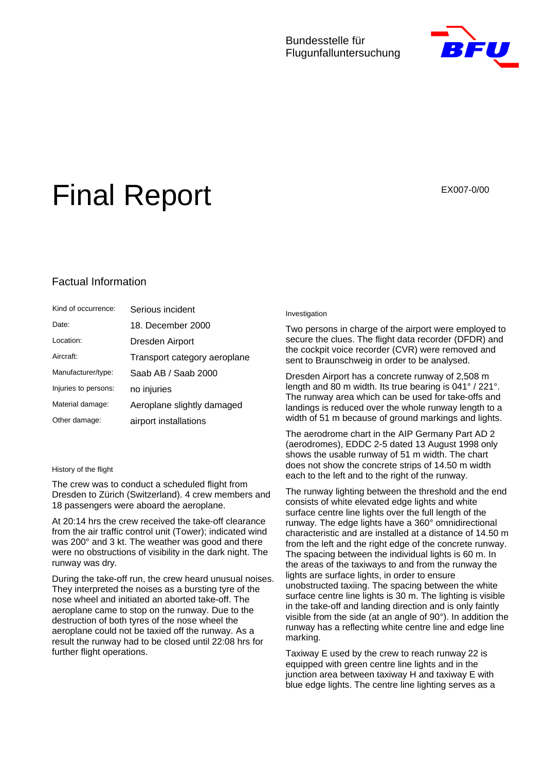## Bundesstelle für Flugunfalluntersuchung



# Final Report EX007-0/00

# Factual Information

| Kind of occurrence:  | Serious incident             |
|----------------------|------------------------------|
| Date:                | 18. December 2000            |
| Location:            | Dresden Airport              |
| Aircraft:            | Transport category aeroplane |
| Manufacturer/type:   | Saab AB / Saab 2000          |
| Injuries to persons: | no injuries                  |
| Material damage:     | Aeroplane slightly damaged   |
| Other damage:        | airport installations        |

#### History of the flight

The crew was to conduct a scheduled flight from Dresden to Zürich (Switzerland). 4 crew members and 18 passengers were aboard the aeroplane.

At 20:14 hrs the crew received the take-off clearance from the air traffic control unit (Tower); indicated wind was 200° and 3 kt. The weather was good and there were no obstructions of visibility in the dark night. The runway was dry.

During the take-off run, the crew heard unusual noises. They interpreted the noises as a bursting tyre of the nose wheel and initiated an aborted take-off. The aeroplane came to stop on the runway. Due to the destruction of both tyres of the nose wheel the aeroplane could not be taxied off the runway. As a result the runway had to be closed until 22:08 hrs for further flight operations.

#### Investigation

Two persons in charge of the airport were employed to secure the clues. The flight data recorder (DFDR) and the cockpit voice recorder (CVR) were removed and sent to Braunschweig in order to be analysed.

Dresden Airport has a concrete runway of 2,508 m length and 80 m width. Its true bearing is 041° / 221°. The runway area which can be used for take-offs and landings is reduced over the whole runway length to a width of 51 m because of ground markings and lights.

The aerodrome chart in the AIP Germany Part AD 2 (aerodromes), EDDC 2-5 dated 13 August 1998 only shows the usable runway of 51 m width. The chart does not show the concrete strips of 14.50 m width each to the left and to the right of the runway.

The runway lighting between the threshold and the end consists of white elevated edge lights and white surface centre line lights over the full length of the runway. The edge lights have a 360° omnidirectional characteristic and are installed at a distance of 14.50 m from the left and the right edge of the concrete runway. The spacing between the individual lights is 60 m. In the areas of the taxiways to and from the runway the lights are surface lights, in order to ensure unobstructed taxiing. The spacing between the white surface centre line lights is 30 m. The lighting is visible in the take-off and landing direction and is only faintly visible from the side (at an angle of 90°). In addition the runway has a reflecting white centre line and edge line marking.

Taxiway E used by the crew to reach runway 22 is equipped with green centre line lights and in the junction area between taxiway H and taxiway E with blue edge lights. The centre line lighting serves as a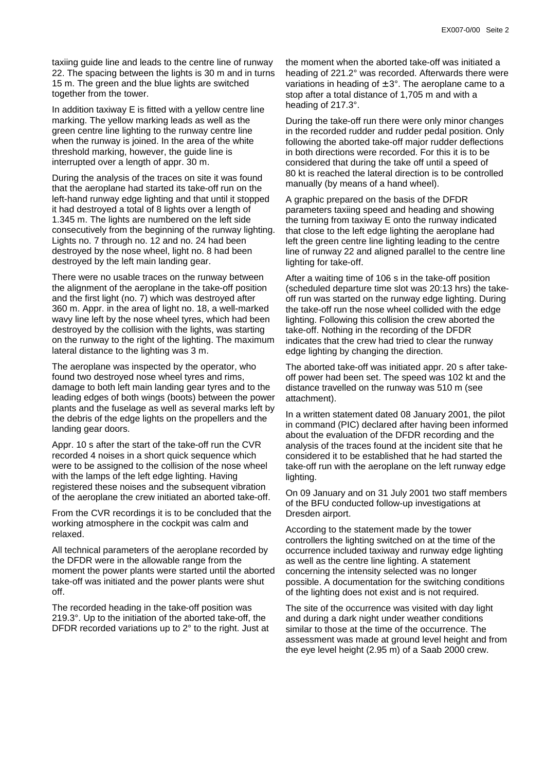taxiing guide line and leads to the centre line of runway 22. The spacing between the lights is 30 m and in turns 15 m. The green and the blue lights are switched together from the tower.

In addition taxiway E is fitted with a yellow centre line marking. The yellow marking leads as well as the green centre line lighting to the runway centre line when the runway is joined. In the area of the white threshold marking, however, the guide line is interrupted over a length of appr. 30 m.

During the analysis of the traces on site it was found that the aeroplane had started its take-off run on the left-hand runway edge lighting and that until it stopped it had destroyed a total of 8 lights over a length of 1.345 m. The lights are numbered on the left side consecutively from the beginning of the runway lighting. Lights no. 7 through no. 12 and no. 24 had been destroyed by the nose wheel, light no. 8 had been destroyed by the left main landing gear.

There were no usable traces on the runway between the alignment of the aeroplane in the take-off position and the first light (no. 7) which was destroyed after 360 m. Appr. in the area of light no. 18, a well-marked wavy line left by the nose wheel tyres, which had been destroyed by the collision with the lights, was starting on the runway to the right of the lighting. The maximum lateral distance to the lighting was 3 m.

The aeroplane was inspected by the operator, who found two destroyed nose wheel tyres and rims, damage to both left main landing gear tyres and to the leading edges of both wings (boots) between the power plants and the fuselage as well as several marks left by the debris of the edge lights on the propellers and the landing gear doors.

Appr. 10 s after the start of the take-off run the CVR recorded 4 noises in a short quick sequence which were to be assigned to the collision of the nose wheel with the lamps of the left edge lighting. Having registered these noises and the subsequent vibration of the aeroplane the crew initiated an aborted take-off.

From the CVR recordings it is to be concluded that the working atmosphere in the cockpit was calm and relaxed.

All technical parameters of the aeroplane recorded by the DFDR were in the allowable range from the moment the power plants were started until the aborted take-off was initiated and the power plants were shut off.

The recorded heading in the take-off position was 219.3°. Up to the initiation of the aborted take-off, the DFDR recorded variations up to 2° to the right. Just at the moment when the aborted take-off was initiated a heading of 221.2° was recorded. Afterwards there were variations in heading of  $\pm$  3°. The aeroplane came to a stop after a total distance of 1,705 m and with a heading of 217.3°.

During the take-off run there were only minor changes in the recorded rudder and rudder pedal position. Only following the aborted take-off major rudder deflections in both directions were recorded. For this it is to be considered that during the take off until a speed of 80 kt is reached the lateral direction is to be controlled manually (by means of a hand wheel).

A graphic prepared on the basis of the DFDR parameters taxiing speed and heading and showing the turning from taxiway E onto the runway indicated that close to the left edge lighting the aeroplane had left the green centre line lighting leading to the centre line of runway 22 and aligned parallel to the centre line lighting for take-off.

After a waiting time of 106 s in the take-off position (scheduled departure time slot was 20:13 hrs) the takeoff run was started on the runway edge lighting. During the take-off run the nose wheel collided with the edge lighting. Following this collision the crew aborted the take-off. Nothing in the recording of the DFDR indicates that the crew had tried to clear the runway edge lighting by changing the direction.

The aborted take-off was initiated appr. 20 s after takeoff power had been set. The speed was 102 kt and the distance travelled on the runway was 510 m (see attachment).

In a written statement dated 08 January 2001, the pilot in command (PIC) declared after having been informed about the evaluation of the DFDR recording and the analysis of the traces found at the incident site that he considered it to be established that he had started the take-off run with the aeroplane on the left runway edge lighting.

On 09 January and on 31 July 2001 two staff members of the BFU conducted follow-up investigations at Dresden airport.

According to the statement made by the tower controllers the lighting switched on at the time of the occurrence included taxiway and runway edge lighting as well as the centre line lighting. A statement concerning the intensity selected was no longer possible. A documentation for the switching conditions of the lighting does not exist and is not required.

The site of the occurrence was visited with day light and during a dark night under weather conditions similar to those at the time of the occurrence. The assessment was made at ground level height and from the eye level height (2.95 m) of a Saab 2000 crew.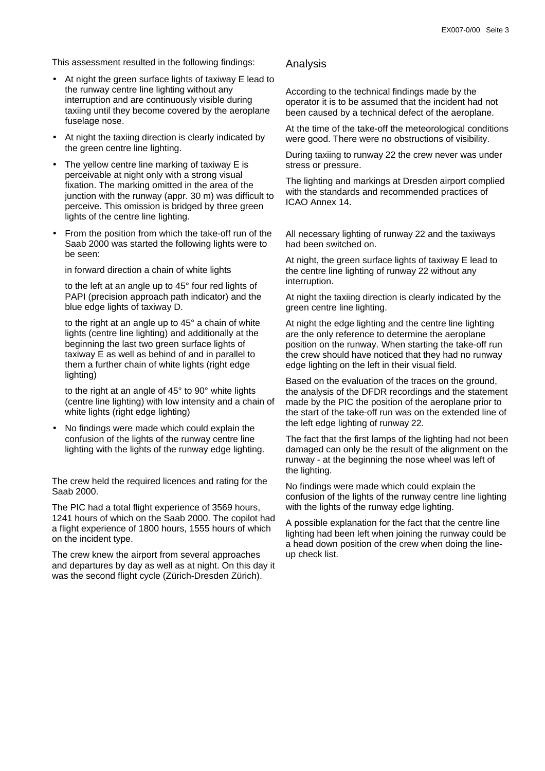This assessment resulted in the following findings:

- At night the green surface lights of taxiway E lead to the runway centre line lighting without any interruption and are continuously visible during taxiing until they become covered by the aeroplane fuselage nose.
- At night the taxiing direction is clearly indicated by the green centre line lighting.
- The yellow centre line marking of taxiway E is perceivable at night only with a strong visual fixation. The marking omitted in the area of the junction with the runway (appr. 30 m) was difficult to perceive. This omission is bridged by three green lights of the centre line lighting.
- From the position from which the take-off run of the Saab 2000 was started the following lights were to be seen:

in forward direction a chain of white lights

to the left at an angle up to 45° four red lights of PAPI (precision approach path indicator) and the blue edge lights of taxiway D.

to the right at an angle up to 45° a chain of white lights (centre line lighting) and additionally at the beginning the last two green surface lights of taxiway E as well as behind of and in parallel to them a further chain of white lights (right edge lighting)

to the right at an angle of 45° to 90° white lights (centre line lighting) with low intensity and a chain of white lights (right edge lighting)

• No findings were made which could explain the confusion of the lights of the runway centre line lighting with the lights of the runway edge lighting.

The crew held the required licences and rating for the Saab 2000.

The PIC had a total flight experience of 3569 hours, 1241 hours of which on the Saab 2000. The copilot had a flight experience of 1800 hours, 1555 hours of which on the incident type.

The crew knew the airport from several approaches and departures by day as well as at night. On this day it was the second flight cycle (Zürich-Dresden Zürich).

### Analysis

According to the technical findings made by the operator it is to be assumed that the incident had not been caused by a technical defect of the aeroplane.

At the time of the take-off the meteorological conditions were good. There were no obstructions of visibility.

During taxiing to runway 22 the crew never was under stress or pressure.

The lighting and markings at Dresden airport complied with the standards and recommended practices of ICAO Annex 14.

All necessary lighting of runway 22 and the taxiways had been switched on.

At night, the green surface lights of taxiway E lead to the centre line lighting of runway 22 without any interruption.

At night the taxiing direction is clearly indicated by the green centre line lighting.

At night the edge lighting and the centre line lighting are the only reference to determine the aeroplane position on the runway. When starting the take-off run the crew should have noticed that they had no runway edge lighting on the left in their visual field.

Based on the evaluation of the traces on the ground, the analysis of the DFDR recordings and the statement made by the PIC the position of the aeroplane prior to the start of the take-off run was on the extended line of the left edge lighting of runway 22.

The fact that the first lamps of the lighting had not been damaged can only be the result of the alignment on the runway - at the beginning the nose wheel was left of the lighting.

No findings were made which could explain the confusion of the lights of the runway centre line lighting with the lights of the runway edge lighting.

A possible explanation for the fact that the centre line lighting had been left when joining the runway could be a head down position of the crew when doing the lineup check list.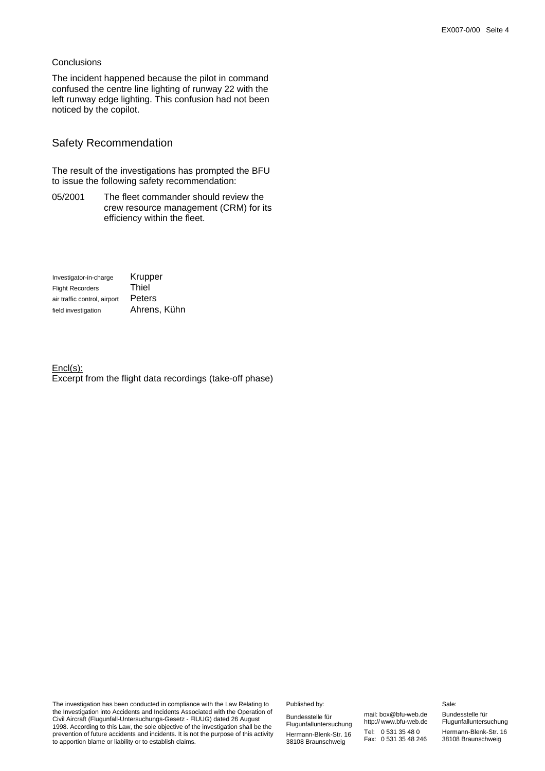## **Conclusions**

The incident happened because the pilot in command confused the centre line lighting of runway 22 with the left runway edge lighting. This confusion had not been noticed by the copilot.

## Safety Recommendation

The result of the investigations has prompted the BFU to issue the following safety recommendation:

05/2001 The fleet commander should review the crew resource management (CRM) for its efficiency within the fleet.

| Investigator-in-charge       | Krupper      |
|------------------------------|--------------|
| <b>Flight Recorders</b>      | Thiel        |
| air traffic control, airport | Peters       |
| field investigation          | Ahrens, Kühn |

Encl(s): Excerpt from the flight data recordings (take-off phase)

The investigation has been conducted in compliance with the Law Relating to the Investigation into Accidents and Incidents Associated with the Operation of Civil Aircraft (Flugunfall-Untersuchungs-Gesetz - FlUUG) dated 26 August 1998. According to this Law, the sole objective of the investigation shall be the prevention of future accidents and incidents. It is not the purpose of this activity to apportion blame or liability or to establish claims.

Published by:

Bundesstelle für Flugunfalluntersuchung Hermann-Blenk-Str. 16 38108 Braunschweig

mail: box@bfu-web.de http:// www.bfu-web.de Tel: 0 531 35 48 0 Fax: 0 531 35 48 246

#### Sale:

Bundesstelle für Flugunfalluntersuchung Hermann-Blenk-Str. 16 38108 Braunschweig